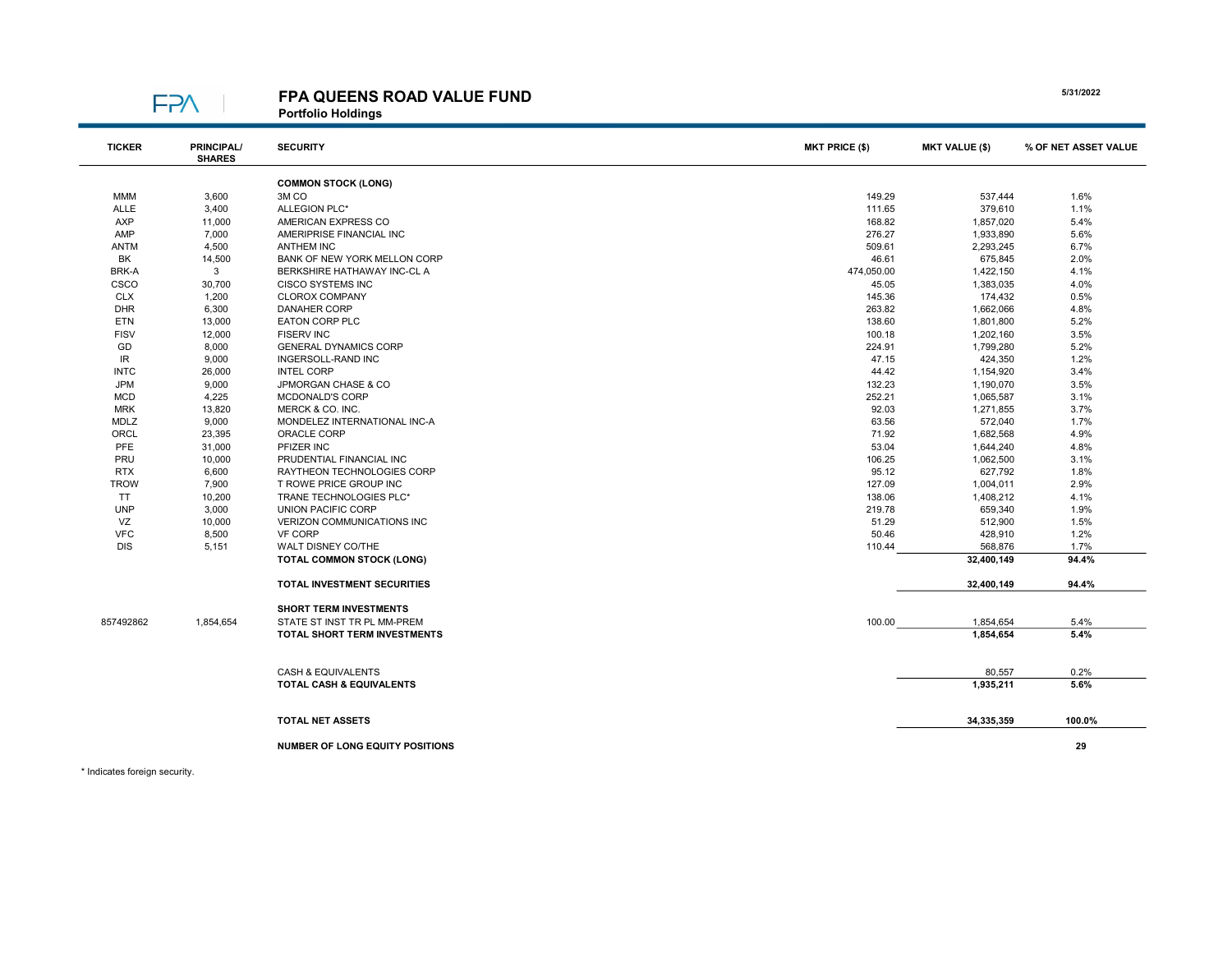

## FPA QUEENS ROAD VALUE FUND

Portfolio Holdings

| <b>TICKER</b> | <b>PRINCIPAL/</b><br><b>SHARES</b> | <b>SECURITY</b>                        | <b>MKT PRICE (\$)</b> | <b>MKT VALUE (\$)</b> | % OF NET ASSET VALUE |
|---------------|------------------------------------|----------------------------------------|-----------------------|-----------------------|----------------------|
|               |                                    | <b>COMMON STOCK (LONG)</b>             |                       |                       |                      |
| <b>MMM</b>    | 3,600                              | 3M <sub>CO</sub>                       | 149.29                | 537,444               | 1.6%                 |
| ALLE          | 3,400                              | ALLEGION PLC*                          | 111.65                | 379,610               | 1.1%                 |
| <b>AXP</b>    | 11,000                             | AMERICAN EXPRESS CO                    | 168.82                | 1,857,020             | 5.4%                 |
| AMP           | 7,000                              | AMERIPRISE FINANCIAL INC               | 276.27                | 1,933,890             | 5.6%                 |
| <b>ANTM</b>   | 4,500                              | <b>ANTHEM INC</b>                      | 509.61                | 2,293,245             | 6.7%                 |
| BK            | 14,500                             | BANK OF NEW YORK MELLON CORP           | 46.61                 | 675,845               | 2.0%                 |
| BRK-A         | 3                                  | BERKSHIRE HATHAWAY INC-CL A            | 474,050.00            | 1,422,150             | 4.1%                 |
| CSCO          | 30,700                             | <b>CISCO SYSTEMS INC</b>               | 45.05                 | 1,383,035             | 4.0%                 |
| <b>CLX</b>    | 1,200                              | <b>CLOROX COMPANY</b>                  | 145.36                | 174,432               | 0.5%                 |
| <b>DHR</b>    | 6,300                              | <b>DANAHER CORP</b>                    | 263.82                | 1,662,066             | 4.8%                 |
| <b>ETN</b>    | 13,000                             | <b>EATON CORP PLC</b>                  | 138.60                | 1,801,800             | 5.2%                 |
| <b>FISV</b>   | 12,000                             | <b>FISERV INC</b>                      | 100.18                | 1,202,160             | 3.5%                 |
| GD            | 8,000                              | <b>GENERAL DYNAMICS CORP</b>           | 224.91                | 1,799,280             | 5.2%                 |
| IR            | 9,000                              | INGERSOLL-RAND INC                     | 47.15                 | 424,350               | 1.2%                 |
| <b>INTC</b>   | 26,000                             | <b>INTEL CORP</b>                      | 44.42                 | 1,154,920             | 3.4%                 |
| <b>JPM</b>    | 9,000                              | JPMORGAN CHASE & CO                    | 132.23                | 1,190,070             | 3.5%                 |
| <b>MCD</b>    | 4,225                              | MCDONALD'S CORP                        | 252.21                | 1,065,587             | 3.1%                 |
| <b>MRK</b>    | 13,820                             | MERCK & CO. INC.                       | 92.03                 | 1,271,855             | 3.7%                 |
| MDLZ          | 9,000                              | MONDELEZ INTERNATIONAL INC-A           | 63.56                 | 572,040               | 1.7%                 |
| ORCL          | 23,395                             | ORACLE CORP                            | 71.92                 | 1,682,568             | 4.9%                 |
| PFE           | 31,000                             | PFIZER INC                             | 53.04                 | 1,644,240             | 4.8%                 |
| PRU           | 10,000                             | PRUDENTIAL FINANCIAL INC               | 106.25                | 1,062,500             | 3.1%                 |
| <b>RTX</b>    | 6,600                              | RAYTHEON TECHNOLOGIES CORP             | 95.12                 | 627,792               | 1.8%                 |
| <b>TROW</b>   | 7,900                              | T ROWE PRICE GROUP INC                 | 127.09                | 1,004,011             | 2.9%                 |
| <b>TT</b>     | 10,200                             | TRANE TECHNOLOGIES PLC*                | 138.06                | 1,408,212             | 4.1%                 |
| <b>UNP</b>    | 3,000                              | UNION PACIFIC CORP                     | 219.78                | 659,340               | 1.9%                 |
| VZ            | 10,000                             | VERIZON COMMUNICATIONS INC             | 51.29                 | 512,900               | 1.5%                 |
| <b>VFC</b>    | 8,500                              | <b>VF CORP</b>                         | 50.46                 | 428,910               | 1.2%                 |
| <b>DIS</b>    | 5,151                              | WALT DISNEY CO/THE                     | 110.44                | 568,876               | 1.7%                 |
|               |                                    | <b>TOTAL COMMON STOCK (LONG)</b>       |                       | 32,400,149            | 94.4%                |
|               |                                    | <b>TOTAL INVESTMENT SECURITIES</b>     |                       | 32,400,149            | 94.4%                |
|               |                                    | <b>SHORT TERM INVESTMENTS</b>          |                       |                       |                      |
| 857492862     | 1,854,654                          | STATE ST INST TR PL MM-PREM            | 100.00                | 1,854,654             | 5.4%                 |
|               |                                    | TOTAL SHORT TERM INVESTMENTS           |                       | 1,854,654             | 5.4%                 |
|               |                                    |                                        |                       |                       |                      |
|               |                                    | CASH & EQUIVALENTS                     |                       | 80,557                | 0.2%                 |
|               |                                    | TOTAL CASH & EQUIVALENTS               |                       | 1,935,211             | 5.6%                 |
|               |                                    | <b>TOTAL NET ASSETS</b>                |                       | 34,335,359            | 100.0%               |
|               |                                    |                                        |                       |                       |                      |
|               |                                    | <b>NUMBER OF LONG EQUITY POSITIONS</b> |                       |                       | 29                   |

\* Indicates foreign security.

5/31/2022